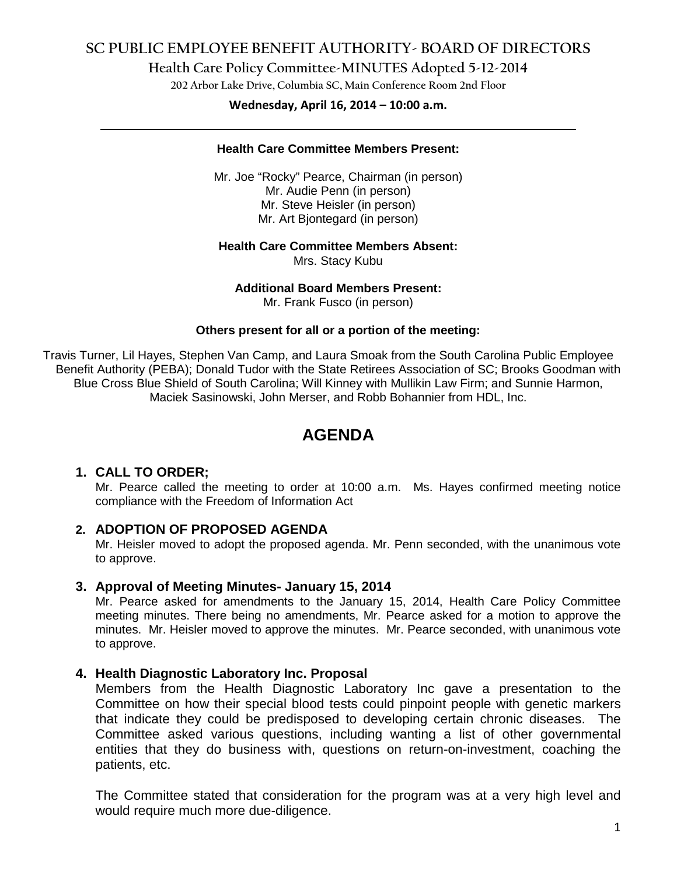# **SC PUBLIC EMPLOYEE BENEFIT AUTHORITY- BOARD OF DIRECTORS**

### **Health Care Policy Committee-MINUTES Adopted 5-12-2014**

**202 Arbor Lake Drive, Columbia SC, Main Conference Room 2nd Floor**

# **Wednesday, April 16, 2014 – 10:00 a.m. \_\_\_\_\_\_\_\_\_\_\_\_\_\_\_\_\_\_\_\_\_\_\_\_\_\_\_\_\_\_\_\_\_\_\_\_\_\_\_\_\_\_\_\_\_\_\_\_\_\_\_\_\_\_\_\_\_\_\_\_\_\_\_\_\_\_\_\_\_\_\_\_**

#### **Health Care Committee Members Present:**

Mr. Joe "Rocky" Pearce, Chairman (in person) Mr. Audie Penn (in person) Mr. Steve Heisler (in person) Mr. Art Bjontegard (in person)

#### **Health Care Committee Members Absent:**

Mrs. Stacy Kubu

#### **Additional Board Members Present:**

Mr. Frank Fusco (in person)

#### **Others present for all or a portion of the meeting:**

Travis Turner, Lil Hayes, Stephen Van Camp, and Laura Smoak from the South Carolina Public Employee Benefit Authority (PEBA); Donald Tudor with the State Retirees Association of SC; Brooks Goodman with Blue Cross Blue Shield of South Carolina; Will Kinney with Mullikin Law Firm; and Sunnie Harmon, Maciek Sasinowski, John Merser, and Robb Bohannier from HDL, Inc.

# **AGENDA**

### **1. CALL TO ORDER;**

Mr. Pearce called the meeting to order at 10:00 a.m. Ms. Hayes confirmed meeting notice compliance with the Freedom of Information Act

### **2. ADOPTION OF PROPOSED AGENDA**

Mr. Heisler moved to adopt the proposed agenda. Mr. Penn seconded, with the unanimous vote to approve.

### **3. Approval of Meeting Minutes- January 15, 2014**

Mr. Pearce asked for amendments to the January 15, 2014, Health Care Policy Committee meeting minutes. There being no amendments, Mr. Pearce asked for a motion to approve the minutes. Mr. Heisler moved to approve the minutes. Mr. Pearce seconded, with unanimous vote to approve.

### **4. Health Diagnostic Laboratory Inc. Proposal**

Members from the Health Diagnostic Laboratory Inc gave a presentation to the Committee on how their special blood tests could pinpoint people with genetic markers that indicate they could be predisposed to developing certain chronic diseases. The Committee asked various questions, including wanting a list of other governmental entities that they do business with, questions on return-on-investment, coaching the patients, etc.

The Committee stated that consideration for the program was at a very high level and would require much more due-diligence.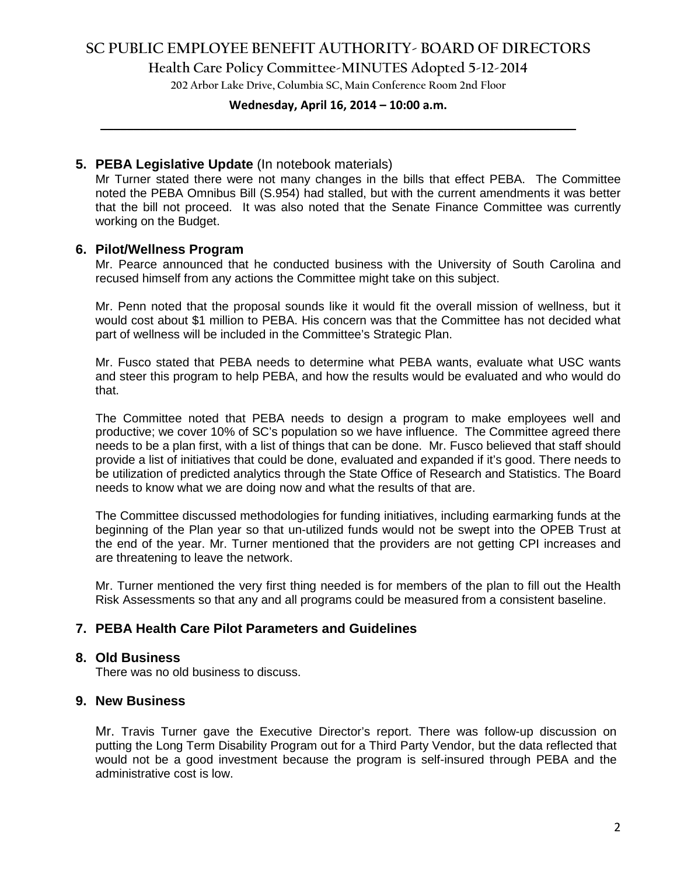# **SC PUBLIC EMPLOYEE BENEFIT AUTHORITY- BOARD OF DIRECTORS**

**Health Care Policy Committee-MINUTES Adopted 5-12-2014**

**202 Arbor Lake Drive, Columbia SC, Main Conference Room 2nd Floor**

# **Wednesday, April 16, 2014 – 10:00 a.m. \_\_\_\_\_\_\_\_\_\_\_\_\_\_\_\_\_\_\_\_\_\_\_\_\_\_\_\_\_\_\_\_\_\_\_\_\_\_\_\_\_\_\_\_\_\_\_\_\_\_\_\_\_\_\_\_\_\_\_\_\_\_\_\_\_\_\_\_\_\_\_\_**

### **5. PEBA Legislative Update** (In notebook materials)

Mr Turner stated there were not many changes in the bills that effect PEBA. The Committee noted the PEBA Omnibus Bill (S.954) had stalled, but with the current amendments it was better that the bill not proceed. It was also noted that the Senate Finance Committee was currently working on the Budget.

### **6. Pilot/Wellness Program**

Mr. Pearce announced that he conducted business with the University of South Carolina and recused himself from any actions the Committee might take on this subject.

Mr. Penn noted that the proposal sounds like it would fit the overall mission of wellness, but it would cost about \$1 million to PEBA. His concern was that the Committee has not decided what part of wellness will be included in the Committee's Strategic Plan.

Mr. Fusco stated that PEBA needs to determine what PEBA wants, evaluate what USC wants and steer this program to help PEBA, and how the results would be evaluated and who would do that.

The Committee noted that PEBA needs to design a program to make employees well and productive; we cover 10% of SC's population so we have influence. The Committee agreed there needs to be a plan first, with a list of things that can be done. Mr. Fusco believed that staff should provide a list of initiatives that could be done, evaluated and expanded if it's good. There needs to be utilization of predicted analytics through the State Office of Research and Statistics. The Board needs to know what we are doing now and what the results of that are.

The Committee discussed methodologies for funding initiatives, including earmarking funds at the beginning of the Plan year so that un-utilized funds would not be swept into the OPEB Trust at the end of the year. Mr. Turner mentioned that the providers are not getting CPI increases and are threatening to leave the network.

Mr. Turner mentioned the very first thing needed is for members of the plan to fill out the Health Risk Assessments so that any and all programs could be measured from a consistent baseline.

### **7. PEBA Health Care Pilot Parameters and Guidelines**

### **8. Old Business**

There was no old business to discuss.

### **9. New Business**

Mr. Travis Turner gave the Executive Director's report. There was follow-up discussion on putting the Long Term Disability Program out for a Third Party Vendor, but the data reflected that would not be a good investment because the program is self-insured through PEBA and the administrative cost is low.